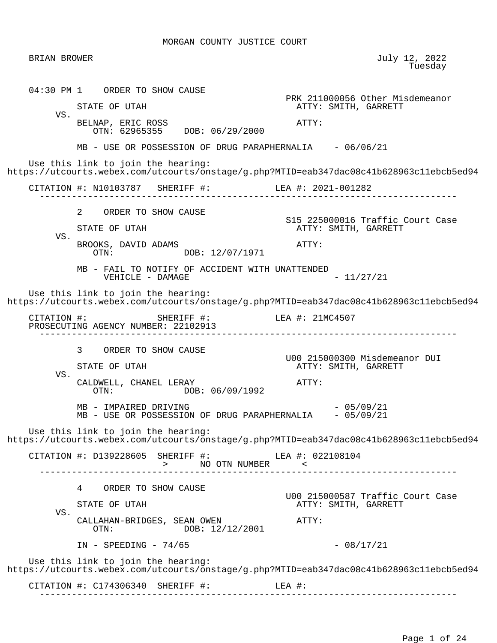BRIAN BROWER July 12, 2022 en de la construcción de la construcción de la construcción de la construcción de la construcción de la construcción de la construcción de la construcción de la construcción de la construcción de la construcción de la cons 04:30 PM 1 ORDER TO SHOW CAUSE PRK 211000056 Other Misdemeanor<br>
PRK 211000056 Other Misdemeanor<br>
ATTY: SMITH, GARRETT ATTY: SMITH, GARRETT VS. BELNAP, ERIC ROSS ATTY: OTN: 62965355 DOB: 06/29/2000 MB - USE OR POSSESSION OF DRUG PARAPHERNALIA - 06/06/21 Use this link to join the hearing: https://utcourts.webex.com/utcourts/onstage/g.php?MTID=eab347dac08c41b628963c11ebcb5ed94 CITATION #: N10103787 SHERIFF #: LEA #: 2021-001282 ------------------------------------------------------------------------------ 2 ORDER TO SHOW CAUSE S15 225000016 Traffic Court Case ATTY: SMITH, GARRETT VS. BROOKS, DAVID ADAMS<br>
OTN:  $O(X)$ : DOB: 12/07/1971<br>
DOB: 12/07/1971 DOB: 12/07/1971 MB - FAIL TO NOTIFY OF ACCIDENT WITH UNATTENDED  $VEHICLE$  - DAMAGE  $-11/27/21$  Use this link to join the hearing: https://utcourts.webex.com/utcourts/onstage/g.php?MTID=eab347dac08c41b628963c11ebcb5ed94 CITATION #: SHERIFF #: LEA #: 21MC4507 PROSECUTING AGENCY NUMBER: 22102913 ------------------------------------------------------------------------------ 3 ORDER TO SHOW CAUSE U00 215000300 Misdemeanor DUI ATTY: SMITH, GARRETT VS. CALDWELL, CHANEL LERAY **ATTY:**  OTN: DOB: 06/09/1992  $MB - IMPAIRED DRIVING$  - 05/09/21 MB - USE OR POSSESSION OF DRUG PARAPHERNALIA - 05/09/21 Use this link to join the hearing: https://utcourts.webex.com/utcourts/onstage/g.php?MTID=eab347dac08c41b628963c11ebcb5ed94 CITATION #: D139228605 SHERIFF #: LEA #: 022108104 > NO OTN NUMBER < ------------------------------------------------------------------------------ 4 ORDER TO SHOW CAUSE U00 215000587 Traffic Court Case ATTY: SMITH, GARRETT VS. CALLAHAN-BRIDGES, SEAN OWEN <br>
OTN: DOB: 12/12/2001 DOB: 12/12/2001  $IN - SPEEDING - 74/65$  - 08/17/21 Use this link to join the hearing: https://utcourts.webex.com/utcourts/onstage/g.php?MTID=eab347dac08c41b628963c11ebcb5ed94 CITATION #: C174306340 SHERIFF #: LEA #: ------------------------------------------------------------------------------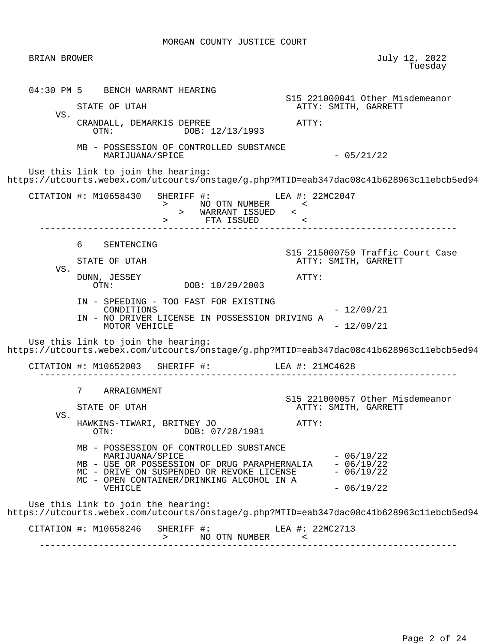| BRIAN BROWER |                                                                                                                                                                                                                 | July 12, 2022<br>Tuesday                                                                 |
|--------------|-----------------------------------------------------------------------------------------------------------------------------------------------------------------------------------------------------------------|------------------------------------------------------------------------------------------|
|              | 04:30 PM 5 BENCH WARRANT HEARING<br>STATE OF UTAH                                                                                                                                                               | S15 221000041 Other Misdemeanor<br>ATTY: SMITH, GARRETT                                  |
| VS.          | CRANDALL, DEMARKIS DEPREE<br>OTN: DOB: 12/13/1993                                                                                                                                                               | ATTY:                                                                                    |
|              | MB - POSSESSION OF CONTROLLED SUBSTANCE<br>MARIJUANA/SPICE                                                                                                                                                      | $-05/21/22$                                                                              |
|              | Use this link to join the hearing:                                                                                                                                                                              | https://utcourts.webex.com/utcourts/onstage/g.php?MTID=eab347dac08c41b628963c11ebcb5ed94 |
|              | CITATION #: M10658430 SHERIFF #: LEA #: 22MC2047<br>> NO OTN NUMBER <<br>> WARRANT ISSUED <<br>> FTA ISSUED <                                                                                                   |                                                                                          |
|              | 6 —<br>SENTENCING<br>STATE OF UTAH                                                                                                                                                                              | S15 215000759 Traffic Court Case<br>ATTY: SMITH, GARRETT                                 |
| VS.          | DUNN, JESSEY<br>DOB: 10/29/2003<br>OTN:                                                                                                                                                                         | ATTY:                                                                                    |
|              | IN - SPEEDING - TOO FAST FOR EXISTING<br>CONDITIONS<br>IN - NO DRIVER LICENSE IN POSSESSION DRIVING A<br>MOTOR VEHICLE                                                                                          | $-12/09/21$<br>$-12/09/21$                                                               |
|              | Use this link to join the hearing:                                                                                                                                                                              | https://utcourts.webex.com/utcourts/onstage/g.php?MTID=eab347dac08c41b628963c11ebcb5ed94 |
|              | CITATION #: $M10652003$ SHERIFF #: LEA #: $21MC4628$                                                                                                                                                            |                                                                                          |
| VS.          | 7<br>ARRAIGNMENT<br>STATE OF UTAH<br>HAWKINS-TIWARI, BRITNEY JO<br>DOB: 07/28/1981<br>OTN:                                                                                                                      | S15 221000057 Other Misdemeanor<br>ATTY: SMITH, GARRETT<br>ATTY:                         |
|              | MB - POSSESSION OF CONTROLLED SUBSTANCE<br>MARIJUANA/SPICE<br>MB - USE OR POSSESSION OF DRUG PARAPHERNALIA<br>MC - DRIVE ON SUSPENDED OR REVOKE LICENSE<br>MC - OPEN CONTAINER/DRINKING ALCOHOL IN A<br>VEHICLE | $-06/19/22$<br>$-06/19/22$<br>$-06/19/22$<br>$-06/19/22$                                 |
|              | Use this link to join the hearing:                                                                                                                                                                              | https://utcourts.webex.com/utcourts/onstage/g.php?MTID=eab347dac08c41b628963c11ebcb5ed94 |
|              | CITATION #: M10658246<br>SHERIFF #: LEA #: 22MC2713                                                                                                                                                             |                                                                                          |
|              |                                                                                                                                                                                                                 |                                                                                          |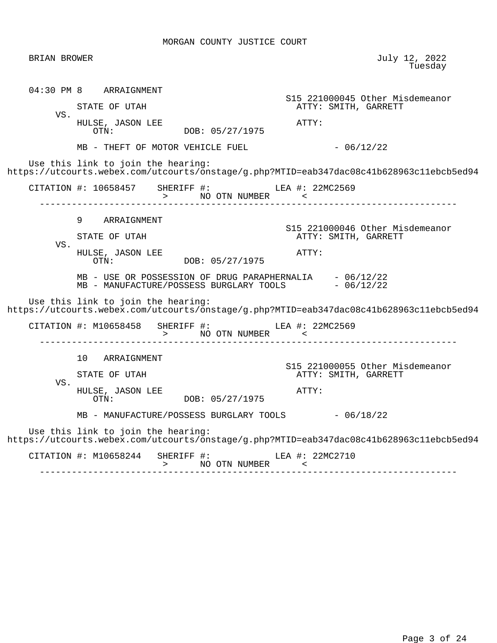| BRIAN BROWER |                                                                                                                                                                                                                                                                                                                                                       | July 12, 2022<br>Tuesday                                                                         |
|--------------|-------------------------------------------------------------------------------------------------------------------------------------------------------------------------------------------------------------------------------------------------------------------------------------------------------------------------------------------------------|--------------------------------------------------------------------------------------------------|
| VS.          | 04:30 PM 8 ARRAIGNMENT<br>STATE OF UTAH<br>HULSE, JASON LEE                                                                                                                                                                                                                                                                                           | S15 221000045 Other Misdemeanor<br>ATTY: SMITH, GARRETT<br>ATTY:                                 |
|              | DOB: 05/27/1975<br>OTN:<br>$MB$ - THEFT OF MOTOR VEHICLE FUEL $-06/12/22$<br>Use this link to join the hearing:<br>https://utcourts.webex.com/utcourts/onstage/g.php?MTID=eab347dac08c41b628963c11ebcb5ed94                                                                                                                                           |                                                                                                  |
|              | CITATION #: 10658457 SHERIFF #: LEA #: 22MC2569<br>> NO OTN NUMBER <                                                                                                                                                                                                                                                                                  |                                                                                                  |
| VS.          | 9 ARRAIGNMENT<br>STATE OF UTAH<br>HULSE, JASON LEE<br>DOB: 05/27/1975<br>OTN:                                                                                                                                                                                                                                                                         | S15 221000046 Other Misdemeanor<br>ATTY: SMITH, GARRETT<br>ATTY:                                 |
|              | $\begin{tabular}{lllll} MB & - USE OR POSSESSION OF DRUG PARAPHERNALIA & - 06/12/22 \\ MB & - MANUFACTURE/POSSESS BURGLARY TOOLS & - 06/12/22 \\ \end{tabular}$<br>Use this link to join the hearing:<br>https://utcourts.webex.com/utcourts/onstage/g.php?MTID=eab347dac08c41b628963c11ebcb5ed94<br>CITATION #: M10658458 SHERIFF #: LEA #: 22MC2569 |                                                                                                  |
| VS.          | 10 ARRAIGNMENT<br>STATE OF UTAH<br>HULSE, JASON LEE<br>OTN: DOB: 05/27/1975<br>MB - MANUFACTURE/POSSESS BURGLARY TOOLS - 06/18/22                                                                                                                                                                                                                     | ____________________________<br>S15 221000055 Other Misdemeanor<br>ATTY: SMITH, GARRETT<br>ATTY: |
|              | Use this link to join the hearing:<br>https://utcourts.webex.com/utcourts/onstage/g.php?MTID=eab347dac08c41b628963c11ebcb5ed94<br>CITATION #: M10658244 SHERIFF #: LEA #: 22MC2710                                                                                                                                                                    |                                                                                                  |
|              | >          NO  OTN  NUMBER                           <                                                                                                                                                                                                                                                                                                |                                                                                                  |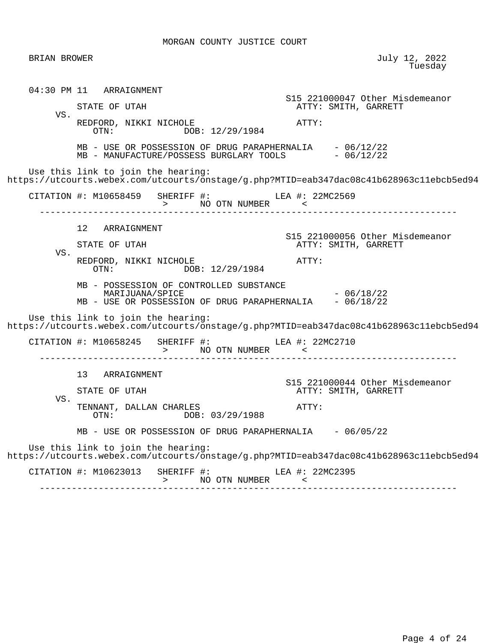BRIAN BROWER July 12, 2022 en de la construcción de la construcción de la construcción de la construcción de la construcción de la construcción de la construcción de la construcción de la construcción de la construcción de la construcción de la cons 04:30 PM 11 ARRAIGNMENT S15 221000047 Other Misdemeanor ATTY: SMITH, GARRETT VS. REDFORD, NIKKI NICHOLE<br>OTN: DOB: 12/29/1984<br>ATTY: DOB: 12/29/1984 MB - USE OR POSSESSION OF DRUG PARAPHERNALIA - 06/12/22<br>MB - MANUFACTURE/POSSESS BURGLARY TOOLS - 06/12/22 MB - MANUFACTURE/POSSESS BURGLARY TOOLS Use this link to join the hearing: https://utcourts.webex.com/utcourts/onstage/g.php?MTID=eab347dac08c41b628963c11ebcb5ed94 CITATION #: M10658459 SHERIFF #: LEA #: 22MC2569 > NO OTN NUMBER<br>------------------------- ------------------------------------------------------------------------------ 12 ARRAIGNMENT S15 221000056 Other Misdemeanor ATTY: SMITH, GARRETT VS. REDFORD, NIKKI NICHOLE **ATTY:** OTN: DOB: 12/29/1984 MB - POSSESSION OF CONTROLLED SUBSTANCE  $MARIJUANA/SPICE$   $- 06/18/22$ MB - USE OR POSSESSION OF DRUG PARAPHERNALIA - 06/18/22 Use this link to join the hearing: https://utcourts.webex.com/utcourts/onstage/g.php?MTID=eab347dac08c41b628963c11ebcb5ed94 CITATION #: M10658245 SHERIFF #: LEA #: 22MC2710 > NO OTN NUMBER < ------------------------------------------------------------------------------ 13 ARRAIGNMENT S15 221000044 Other Misdemeanor ATTY: SMITH, GARRETT VS. TENNANT, DALLAN CHARLES<br>
OTN: DOB: 03/29/1988<br>
OTN: DOB: 03/29/1988 MB - USE OR POSSESSION OF DRUG PARAPHERNALIA - 06/05/22 Use this link to join the hearing: https://utcourts.webex.com/utcourts/onstage/g.php?MTID=eab347dac08c41b628963c11ebcb5ed94 CITATION #: M10623013 SHERIFF #: LEA #: 22MC2395 > NO OTN NUMBER < ------------------------------------------------------------------------------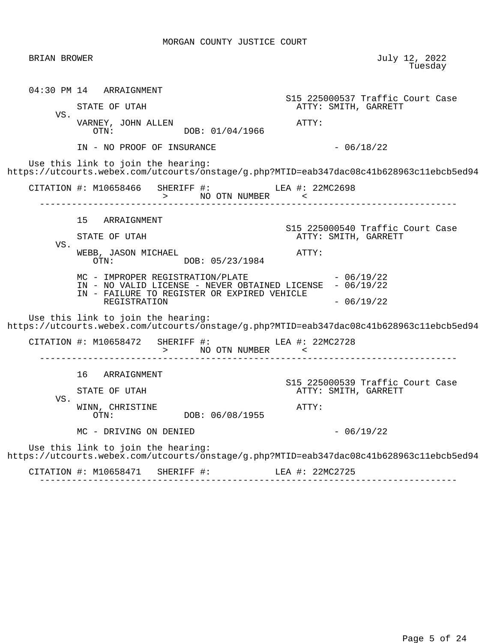| BRIAN BROWER |                                                                                                                                                                                                                                                | July 12, 2022<br>Tuesday                                                                                |
|--------------|------------------------------------------------------------------------------------------------------------------------------------------------------------------------------------------------------------------------------------------------|---------------------------------------------------------------------------------------------------------|
| VS.          | 04:30 PM 14 ARRAIGNMENT<br>STATE OF UTAH<br>VARNEY, JOHN ALLEN                                                                                                                                                                                 | S15 225000537 Traffic Court Case<br>ATTY: SMITH, GARRETT<br>ATTY:                                       |
|              | OTN: DOB: 01/04/1966<br>IN - NO PROOF OF INSURANCE<br>Use this link to join the hearing:                                                                                                                                                       | $-06/18/22$<br>https://utcourts.webex.com/utcourts/onstage/g.php?MTID=eab347dac08c41b628963c11ebcb5ed94 |
|              |                                                                                                                                                                                                                                                |                                                                                                         |
| VS.          | 15 ARRAIGNMENT<br>STATE OF UTAH<br>WEBB, JASON MICHAEL<br>OTN: $DOB: 05/23/1984$<br>$MC$ - IMPROPER REGISTRATION/PLATE $-06/19/22$<br>IN - NO VALID LICENSE - NEVER OBTAINED LICENSE - 06/19/22<br>IN - FAILURE TO REGISTER OR EXPIRED VEHICLE | S15 225000540 Traffic Court Case<br>ATTY: SMITH, GARRETT<br>ATTY:                                       |
|              | REGISTRATION<br>Use this link to join the hearing:<br>CITATION #: M10658472 SHERIFF #: LEA #: 22MC2728                                                                                                                                         | $-06/19/22$<br>https://utcourts.webex.com/utcourts/onstage/g.php?MTID=eab347dac08c41b628963c11ebcb5ed94 |
| VS.          | > NO OTN NUMBER <<br>16 ARRAIGNMENT<br>STATE OF UTAH<br>WINN, CHRISTINE                                                                                                                                                                        | S15 225000539 Traffic Court Case<br>ATTY: SMITH, GARRETT<br>ATTY:                                       |
|              | DOB: 06/08/1955<br>OTN:<br>MC - DRIVING ON DENIED                                                                                                                                                                                              | $-06/19/22$                                                                                             |
|              | Use this link to join the hearing:                                                                                                                                                                                                             | https://utcourts.webex.com/utcourts/onstage/g.php?MTID=eab347dac08c41b628963c11ebcb5ed94                |
|              | CITATION #: M10658471 SHERIFF #:                                                                                                                                                                                                               | LEA #: 22MC2725                                                                                         |
|              |                                                                                                                                                                                                                                                |                                                                                                         |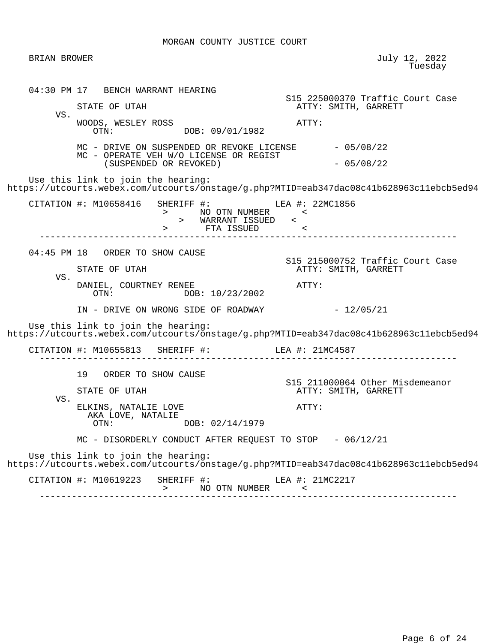BRIAN BROWER July 12, 2022 en de la construcción de la construcción de la construcción de la construcción de la construcción de la construcción de la construcción de la construcción de la construcción de la construcción de la construcción de la cons 04:30 PM 17 BENCH WARRANT HEARING S15 225000370 Traffic Court Case ATTY: SMITH, GARRETT VS. WOODS, WESLEY ROSS<br>
OTN: DOB: 09/01/1982<br>
OTN: DOB: 09/01/1982 MC - DRIVE ON SUSPENDED OR REVOKE LICENSE  $-05/08/22$  MC - OPERATE VEH W/O LICENSE OR REGIST (SUSPENDED OR REVOKED) - 05/08/22 Use this link to join the hearing: https://utcourts.webex.com/utcourts/onstage/g.php?MTID=eab347dac08c41b628963c11ebcb5ed94 CITATION #: M10658416 SHERIFF #: LEA #: 22MC1856 > NO OTN NUMBER > WARRANT ISSUED < > FTA ISSUED < ------------------------------------------------------------------------------ 04:45 PM 18 ORDER TO SHOW CAUSE S15 215000752 Traffic Court Case ATTY: SMITH, GARRETT VS. DANIEL, COURTNEY RENEE<br>
OTN: DOB:  $10/23/2002$ <br>
ATTY: DOB: 10/23/2002  $IN - DRIVE ON WRONG SIDE OF ROADWAY -  $12/05/21$$  Use this link to join the hearing: https://utcourts.webex.com/utcourts/onstage/g.php?MTID=eab347dac08c41b628963c11ebcb5ed94 CITATION #: M10655813 SHERIFF #: LEA #: 21MC4587 ------------------------------------------------------------------------------ 19 ORDER TO SHOW CAUSE S15 211000064 Other Misdemeanor STATE OF UTAH ATTY: SMITH, GARRETT VS. ELKINS, NATALIE LOVE **ATTY:** AKA LOVE, NATALIE DOB: 02/14/1979 MC - DISORDERLY CONDUCT AFTER REQUEST TO STOP - 06/12/21 Use this link to join the hearing: https://utcourts.webex.com/utcourts/onstage/g.php?MTID=eab347dac08c41b628963c11ebcb5ed94 CITATION #: M10619223 SHERIFF #: LEA #: 21MC2217 > NO OTN NUMBER < ------------------------------------------------------------------------------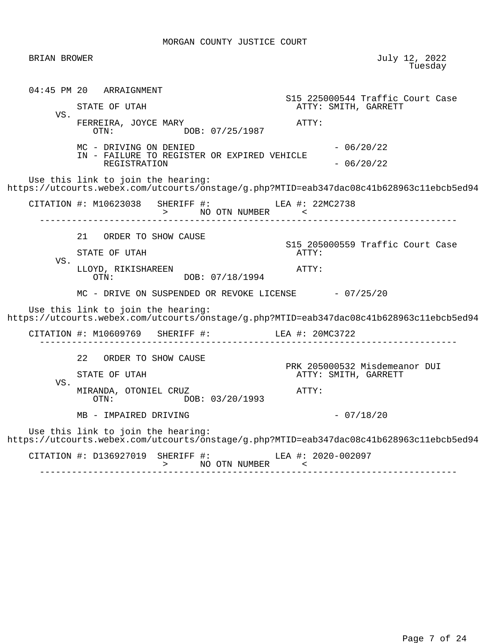BRIAN BROWER July 12, 2022 en de la construcción de la construcción de la construcción de la construcción de la construcción de la construcción de la construcción de la construcción de la construcción de la construcción de la construcción de la cons 04:45 PM 20 ARRAIGNMENT S15 225000544 Traffic Court Case ATTY: SMITH, GARRETT VS. FERREIRA, JOYCE MARY **ATTY:**<br>OTN: DOB: 07/25/1987 DOB: 07/25/1987  $MC - DRIVING ON DENIED - 06/20/22$  IN - FAILURE TO REGISTER OR EXPIRED VEHICLE REGISTRATION  $-06/20/22$  Use this link to join the hearing: https://utcourts.webex.com/utcourts/onstage/g.php?MTID=eab347dac08c41b628963c11ebcb5ed94 CITATION #: M10623038 SHERIFF #: LEA #: 22MC2738 > NO OTN NUMBER < ------------------------------------------------------------------------------ 21 ORDER TO SHOW CAUSE S15 205000559 Traffic Court Case STATE OF UTAH VS. LLOYD, RIKISHAREEN **ATTY:**<br>OTN: DOB: 07/18/1994 DOB: 07/18/1994 MC - DRIVE ON SUSPENDED OR REVOKE LICENSE  $-07/25/20$  Use this link to join the hearing: https://utcourts.webex.com/utcourts/onstage/g.php?MTID=eab347dac08c41b628963c11ebcb5ed94 CITATION #: M10609769 SHERIFF #: LEA #: 20MC3722 ------------------------------------------------------------------------------ 22 ORDER TO SHOW CAUSE PRK 205000532 Misdemeanor DUI<br>
PRK 205000532 Misdemeanor DUI<br>
ATTY: SMITH, GARRETT ATTY: SMITH, GARRETT VS. MIRANDA, OTONIEL CRUZ<br>
OTN: DOB: 03/20/1993<br>
OTN: DOB: 03/20/1993 MB - IMPAIRED DRIVING  $-$  07/18/20 Use this link to join the hearing: https://utcourts.webex.com/utcourts/onstage/g.php?MTID=eab347dac08c41b628963c11ebcb5ed94 CITATION #: D136927019 SHERIFF #: LEA #: 2020-002097 > NO OTN NUMBER < ------------------------------------------------------------------------------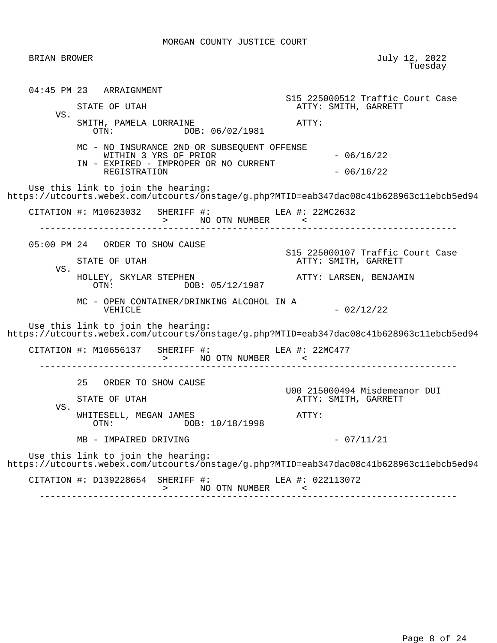| BRIAN BROWER |                                                                                                                                                                                                                                                       | July 12, 2022<br>Tuesday                                                                                                                                                                      |
|--------------|-------------------------------------------------------------------------------------------------------------------------------------------------------------------------------------------------------------------------------------------------------|-----------------------------------------------------------------------------------------------------------------------------------------------------------------------------------------------|
| VS.          | 04:45 PM 23 ARRAIGNMENT<br>STATE OF UTAH<br>SMITH, PAMELA LORRAINE<br>DOB: 06/02/1981<br>OTN:                                                                                                                                                         | S15 225000512 Traffic Court Case<br>ATTY: SMITH, GARRETT<br>ATTY:                                                                                                                             |
|              | MC - NO INSURANCE 2ND OR SUBSEQUENT OFFENSE<br>WITHIN 3 YRS OF PRIOR<br>IN - EXPIRED - IMPROPER OR NO CURRENT<br>REGISTRATION<br>Use this link to join the hearing:                                                                                   | $-06/16/22$<br>$-06/16/22$<br>https://utcourts.webex.com/utcourts/onstage/g.php?MTID=eab347dac08c41b628963c11ebcb5ed94                                                                        |
|              | CITATION #: M10623032 SHERIFF #: LEA #: 22MC2632                                                                                                                                                                                                      |                                                                                                                                                                                               |
| VS.          | 05:00 PM 24 ORDER TO SHOW CAUSE<br>STATE OF UTAH<br>HOLLEY, SKYLAR STEPHEN<br>OTN: DOB: 05/12/1987<br>MC - OPEN CONTAINER/DRINKING ALCOHOL IN A<br>VEHICLE<br>Use this link to join the hearing:<br>CITATION #: M10656137 SHERIFF #: $LEA$ #: 22MC477 | S15 225000107 Traffic Court Case<br>ATTY: SMITH, GARRETT<br>ATTY: LARSEN, BENJAMIN<br>$-02/12/22$<br>https://utcourts.webex.com/utcourts/onstage/g.php?MTID=eab347dac08c41b628963c11ebcb5ed94 |
| VS.          | 25<br>ORDER TO SHOW CAUSE<br>STATE OF UTAH<br>WHITESELL, MEGAN JAMES<br>OTN:<br>DOB: 10/18/1998<br>MB - IMPAIRED DRIVING                                                                                                                              | U00 215000494 Misdemeanor DUI<br>ATTY: SMITH, GARRETT<br>ATTY:<br>$-07/11/21$                                                                                                                 |
|              | Use this link to join the hearing:<br>CITATION #: D139228654<br>SHERIFF #:<br>NO OTN NUMBER<br>$\geq$                                                                                                                                                 | https://utcourts.webex.com/utcourts/onstage/g.php?MTID=eab347dac08c41b628963c11ebcb5ed94<br>LEA #: 022113072<br>$\,<\,$                                                                       |
|              |                                                                                                                                                                                                                                                       |                                                                                                                                                                                               |

------------------------------------------------------------------------------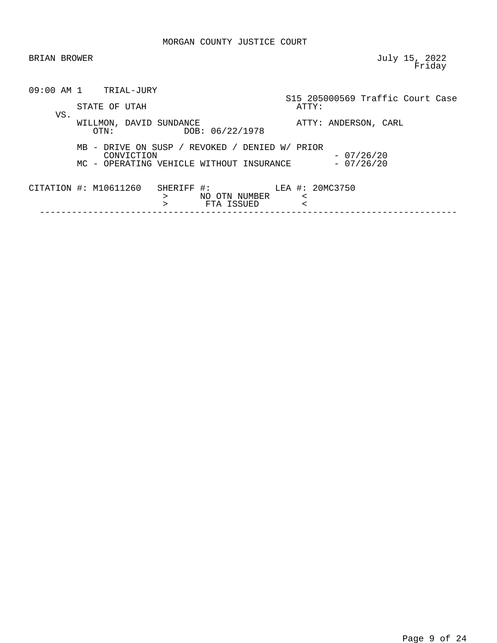| BRIAN BROWER          |                                                                                                          | July 15, 2022<br>Friday                   |
|-----------------------|----------------------------------------------------------------------------------------------------------|-------------------------------------------|
|                       | $09:00$ AM $1$ TRIAL-JURY<br>STATE OF UTAH                                                               | S15 205000569 Traffic Court Case<br>ATTY: |
| VS.                   | WILLMON, DAVID SUNDANCE<br>DOB: 06/22/1978<br>OTN:                                                       | ATTY: ANDERSON, CARL                      |
|                       | MB - DRIVE ON SUSP / REVOKED / DENIED W/ PRIOR<br>CONVICTION<br>MC - OPERATING VEHICLE WITHOUT INSURANCE | $-07/26/20$<br>$-07/26/20$                |
| CITATION #: M10611260 | SHERIFF  #:<br>NO OTN NUMBER<br>⋗<br>FTA ISSUED<br>$\geq$                                                | LEA #: 20MC3750<br>$\,<\,$<br>$\,<\,$     |
|                       |                                                                                                          |                                           |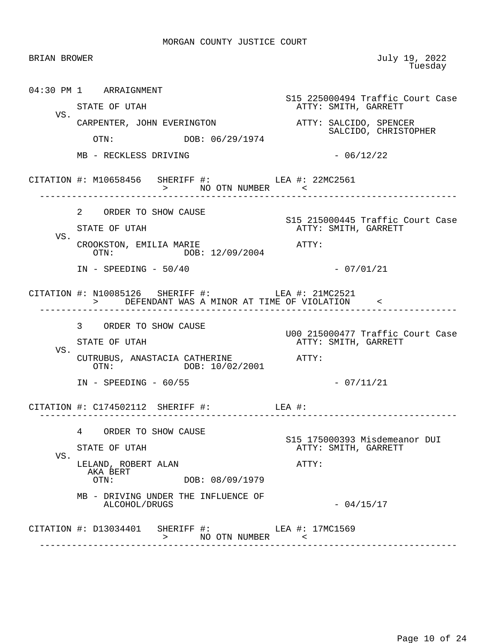| <b>BRIAN BROWER</b> |                                                                                                    | July 19, 2022<br>Tuesday                                          |
|---------------------|----------------------------------------------------------------------------------------------------|-------------------------------------------------------------------|
|                     | 04:30 PM 1 ARRAIGNMENT<br>STATE OF UTAH                                                            | S15 225000494 Traffic Court Case<br>ATTY: SMITH, GARRETT          |
| VS.                 | CARPENTER, JOHN EVERINGTON<br>DOB: 06/29/1974<br>OTN:                                              | ATTY: SALCIDO, SPENCER<br>SALCIDO, CHRISTOPHER                    |
|                     | MB - RECKLESS DRIVING                                                                              | $-06/12/22$                                                       |
|                     | CITATION #: M10658456 SHERIFF #: LEA #: 22MC2561                                                   |                                                                   |
| VS.                 | 2 ORDER TO SHOW CAUSE<br>STATE OF UTAH                                                             | S15 215000445 Traffic Court Case<br>ATTY: SMITH, GARRETT          |
|                     | CROOKSTON, EMILIA MARIE<br>OTN: DOB: 12/09/2004<br>$IN - SPEEDING - 50/40$                         | ATTY:<br>$-07/01/21$                                              |
|                     | CITATION #: N10085126 SHERIFF #: LEA #: 21MC2521<br>> DEFENDANT WAS A MINOR AT TIME OF VIOLATION < |                                                                   |
| VS.                 | 3 ORDER TO SHOW CAUSE<br>STATE OF UTAH<br>CUTRUBUS, ANASTACIA CATHERINE                            | U00 215000477 Traffic Court Case<br>ATTY: SMITH, GARRETT<br>ATTY: |
|                     | OTN: DOB: 10/02/2001<br>$IN - SPEEDING - 60/55$                                                    | $-07/11/21$                                                       |
|                     | CITATION #: $C174502112$ SHERIFF #: LEA #:<br>---------------------                                | . _ _ _ _ _ _ _ _ _ _ _ _ _ _                                     |
| VS.                 | 4 ORDER TO SHOW CAUSE<br>STATE OF UTAH                                                             | S15 175000393 Misdemeanor DUI<br>ATTY: SMITH, GARRETT             |
|                     | LELAND, ROBERT ALAN<br>AKA BERT<br>OTN:<br>DOB: 08/09/1979                                         | ATTY:                                                             |
|                     | MB - DRIVING UNDER THE INFLUENCE OF<br>ALCOHOL/DRUGS                                               | $-04/15/17$                                                       |
|                     | CITATION #: D13034401 SHERIFF #: LEA #: 17MC1569<br>NO OTN NUMBER <<br>$\geq$                      |                                                                   |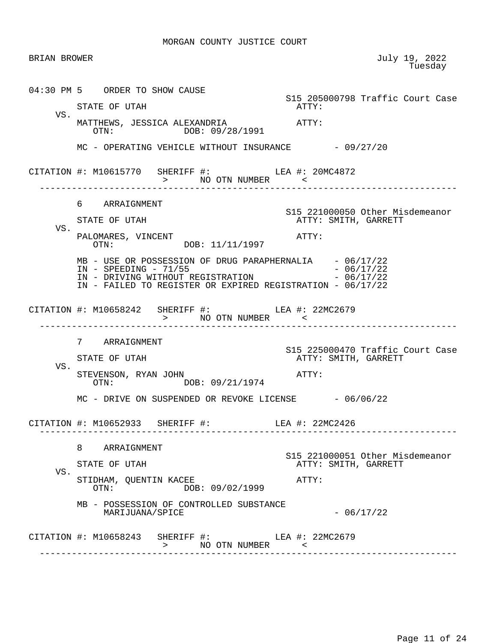| BRIAN BROWER |                                                                                                                                                                                                  | July 19, 2022<br>Tuesday                                 |
|--------------|--------------------------------------------------------------------------------------------------------------------------------------------------------------------------------------------------|----------------------------------------------------------|
|              | 04:30 PM 5 ORDER TO SHOW CAUSE                                                                                                                                                                   | S15 205000798 Traffic Court Case                         |
| VS.          | STATE OF UTAH                                                                                                                                                                                    | ATTY:                                                    |
|              | OTN: DOB: 09/28/1991                                                                                                                                                                             |                                                          |
|              | MC - OPERATING VEHICLE WITHOUT INSURANCE - 09/27/20                                                                                                                                              |                                                          |
|              | CITATION #: M10615770 SHERIFF #: LEA #: 20MC4872<br>> NO OTN NUMBER <                                                                                                                            |                                                          |
|              | 6 ARRAIGNMENT                                                                                                                                                                                    |                                                          |
| VS.          | STATE OF UTAH                                                                                                                                                                                    | S15 221000050 Other Misdemeanor<br>ATTY: SMITH, GARRETT  |
|              | PALOMARES, VINCENT<br>OTN: $DOB: 11/11/1997$                                                                                                                                                     | ATTY:                                                    |
|              | MB - USE OR POSSESSION OF DRUG PARAPHERNALIA - 06/17/22<br>$IN - SPEEDING - 71/55$<br>IN - DRIVING WITHOUT REGISTRATION - 06/17/22<br>IN - FAILED TO REGISTER OR EXPIRED REGISTRATION - 06/17/22 | $-06/17/22$                                              |
|              | CITATION #: M10658242 SHERIFF #: $\qquad \qquad$ LEA #: 22MC2679<br>>             NO    OTN    NUMBER                             <<br>_________________________________                         |                                                          |
|              | 7 ARRAIGNMENT<br>STATE OF UTAH                                                                                                                                                                   | S15 225000470 Traffic Court Case<br>ATTY: SMITH, GARRETT |
| VS.          | STEVENSON, RYAN JOHN<br>OTN: DOB: 09/21/1974                                                                                                                                                     | ATTY:                                                    |
|              | MC - DRIVE ON SUSPENDED OR REVOKE LICENSE - 06/06/22                                                                                                                                             |                                                          |
|              | CITATION #: M10652933 SHERIFF #:                                                                                                                                                                 | LEA #: 22MC2426                                          |
|              | 8 ARRAIGNMENT                                                                                                                                                                                    | S15 221000051 Other Misdemeanor                          |
| VS.          | STATE OF UTAH                                                                                                                                                                                    | ATTY: SMITH, GARRETT                                     |
|              | STIDHAM, QUENTIN KACEE<br>DOB: 09/02/1999<br>OTN:                                                                                                                                                | ATTY:                                                    |
|              | MB - POSSESSION OF CONTROLLED SUBSTANCE<br>MARIJUANA/SPICE                                                                                                                                       | $-06/17/22$                                              |
|              | CITATION #: M10658243 SHERIFF #: LEA #: 22MC2679<br>NO OTN NUMBER <<br>$\geq$                                                                                                                    |                                                          |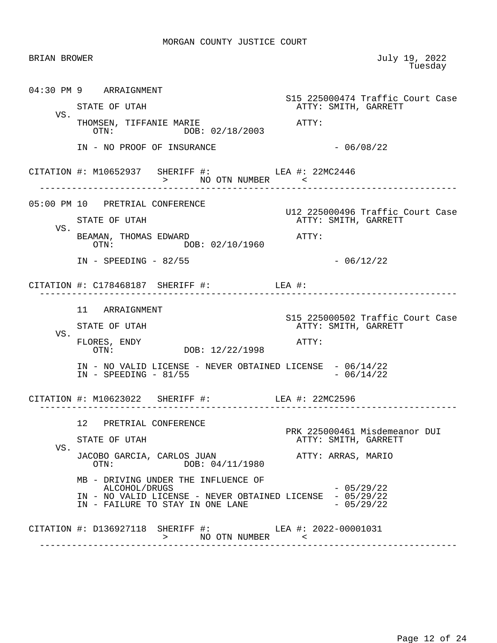| <b>BRIAN BROWER</b> |                                                                                               | July 19, 2022<br>Tuesday                                 |
|---------------------|-----------------------------------------------------------------------------------------------|----------------------------------------------------------|
|                     | 04:30 PM 9 ARRAIGNMENT                                                                        | S15 225000474 Traffic Court Case                         |
|                     | STATE OF UTAH                                                                                 | ATTY: SMITH, GARRETT                                     |
| VS.                 | THOMSEN, TIFFANIE MARIE<br>OTN: DOB: 02/18/2003                                               | ATTY:                                                    |
|                     | IN - NO PROOF OF INSURANCE                                                                    | $-06/08/22$                                              |
|                     | CITATION #: M10652937 SHERIFF #: LEA #: 22MC2446<br>> NO OTN NUMBER <                         |                                                          |
|                     | 05:00 PM 10 PRETRIAL CONFERENCE                                                               |                                                          |
|                     | STATE OF UTAH                                                                                 | U12 225000496 Traffic Court Case<br>ATTY: SMITH, GARRETT |
| VS.                 | BEAMAN, THOMAS EDWARD<br>OTN: DOB: 02/10/1960                                                 | ATTY:                                                    |
|                     | $IN - SPEEDING - 82/55$                                                                       | $-06/12/22$                                              |
|                     | CITATION #: $C178468187$ SHERIFF #: LEA #:<br>--------------------                            |                                                          |
|                     | 11 ARRAIGNMENT                                                                                |                                                          |
|                     | STATE OF UTAH                                                                                 | S15 225000502 Traffic Court Case<br>ATTY: SMITH, GARRETT |
| VS.                 | FLORES, ENDY<br>OTN: DOB: 12/22/1998                                                          | ATTY:                                                    |
|                     | IN - NO VALID LICENSE - NEVER OBTAINED LICENSE - 06/14/22<br>$IN - SPEEDING - 81/55$          | $-06/14/22$                                              |
|                     | CITATION #: M10623022 SHERIFF #: LEA #: 22MC2596                                              |                                                          |
|                     | 12 PRETRIAL CONFERENCE                                                                        |                                                          |
|                     | STATE OF UTAH                                                                                 | PRK 225000461 Misdemeanor DUI<br>ATTY: SMITH, GARRETT    |
| VS.                 | JACOBO GARCIA, CARLOS JUAN<br>DOB: 04/11/1980<br>OTN:                                         | ATTY: ARRAS, MARIO                                       |
|                     | MB - DRIVING UNDER THE INFLUENCE OF<br>ALCOHOL/DRUGS                                          | $-05/29/22$                                              |
|                     | IN - NO VALID LICENSE - NEVER OBTAINED LICENSE - 05/29/22<br>IN - FAILURE TO STAY IN ONE LANE | $-05/29/22$                                              |
|                     | CITATION #: D136927118 SHERIFF #: LEA #: 2022-00001031<br>> NO OTN NUMBER <                   |                                                          |
|                     | _____________________________                                                                 |                                                          |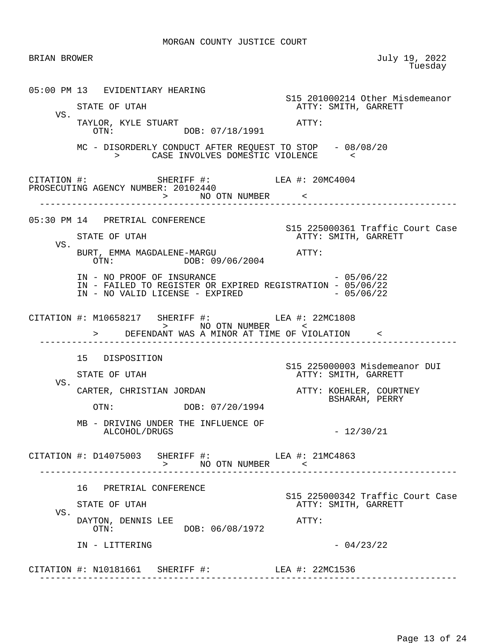|     | BRIAN BROWER                                                                                                                                                                                                                                                                                                                                                                                                                                                                           | July 19, 2022<br>Tuesday                                 |
|-----|----------------------------------------------------------------------------------------------------------------------------------------------------------------------------------------------------------------------------------------------------------------------------------------------------------------------------------------------------------------------------------------------------------------------------------------------------------------------------------------|----------------------------------------------------------|
|     | 05:00 PM 13 EVIDENTIARY HEARING<br>STATE OF UTAH                                                                                                                                                                                                                                                                                                                                                                                                                                       | S15 201000214 Other Misdemeanor<br>ATTY: SMITH, GARRETT  |
| VS. | TAYLOR, KYLE STUART<br>OTN: DOB: 07/18/1991                                                                                                                                                                                                                                                                                                                                                                                                                                            | ATTY:                                                    |
|     | MC - DISORDERLY CONDUCT AFTER REQUEST TO STOP - 08/08/20<br>> CASE INVOLVES DOMESTIC VIOLENCE                                                                                                                                                                                                                                                                                                                                                                                          |                                                          |
|     | $\begin{tabular}{lllllll} \multicolumn{2}{c}{\texttt{CITATION}} & \texttt{+}: & \\ \multicolumn{2}{c}{\texttt{PROSECUTING}} & \multicolumn{2}{c}{\texttt{GENCY}} & \multicolumn{2}{c}{\texttt{NUMBER}}: & \multicolumn{2}{c}{\texttt{20102440}} & \\ \multicolumn{2}{c}{\texttt{PROSECUTING}} & \multicolumn{2}{c}{\texttt{AGENCY}} & \multicolumn{2}{c}{\texttt{NUMBER}}: & \multicolumn{2}{c}{\texttt{20102440}} & \\ \multicolumn{2}{c}{\texttt{PROSECUTING}}$<br>> NO OTN NUMBER < |                                                          |
|     | 05:30 PM 14 PRETRIAL CONFERENCE                                                                                                                                                                                                                                                                                                                                                                                                                                                        |                                                          |
| VS. | STATE OF UTAH                                                                                                                                                                                                                                                                                                                                                                                                                                                                          | S15 225000361 Traffic Court Case<br>ATTY: SMITH, GARRETT |
|     | BURT, EMMA MAGDALENE-MARGU ATTY:<br>OTN: DOB: 09/06/2004                                                                                                                                                                                                                                                                                                                                                                                                                               |                                                          |
|     | IN - NO PROOF OF INSURANCE $-05/06/22$<br>IN - FAILED TO REGISTER OR EXPIRED REGISTRATION - 05/06/22<br>IN - NO VALID LICENSE - EXPIRED $-05/06/22$                                                                                                                                                                                                                                                                                                                                    |                                                          |
|     | CITATION #: M10658217 SHERIFF #: LEA #: 22MC1808<br>> NO OTN NUMBER<br>> DEFENDANT WAS A MINOR AT TIME OF VIOLATION <                                                                                                                                                                                                                                                                                                                                                                  |                                                          |
|     | 15 DISPOSITION                                                                                                                                                                                                                                                                                                                                                                                                                                                                         |                                                          |
|     | STATE OF UTAH                                                                                                                                                                                                                                                                                                                                                                                                                                                                          | S15 225000003 Misdemeanor DUI<br>ATTY: SMITH, GARRETT    |
| VS. | CARTER, CHRISTIAN JORDAN                                                                                                                                                                                                                                                                                                                                                                                                                                                               | ATTY: KOEHLER, COURTNEY                                  |
|     | OTN: DOB: 07/20/1994                                                                                                                                                                                                                                                                                                                                                                                                                                                                   |                                                          |
|     |                                                                                                                                                                                                                                                                                                                                                                                                                                                                                        | BSHARAH, PERRY                                           |
|     | MB - DRIVING UNDER THE INFLUENCE OF<br>ALCOHOL/DRUGS                                                                                                                                                                                                                                                                                                                                                                                                                                   | $-12/30/21$                                              |
|     | CITATION #: D14075003 SHERIFF #: LEA #: 21MC4863<br>> NO OTN NUMBER <                                                                                                                                                                                                                                                                                                                                                                                                                  |                                                          |
|     | 16 PRETRIAL CONFERENCE                                                                                                                                                                                                                                                                                                                                                                                                                                                                 |                                                          |
|     | STATE OF UTAH                                                                                                                                                                                                                                                                                                                                                                                                                                                                          | ATTY: SMITH, GARRETT                                     |
| VS. | DAYTON, DENNIS LEE<br>DOB: 06/08/1972<br>OTN:                                                                                                                                                                                                                                                                                                                                                                                                                                          | ATTY:                                                    |
|     | IN - LITTERING                                                                                                                                                                                                                                                                                                                                                                                                                                                                         | S15 225000342 Traffic Court Case<br>$-04/23/22$          |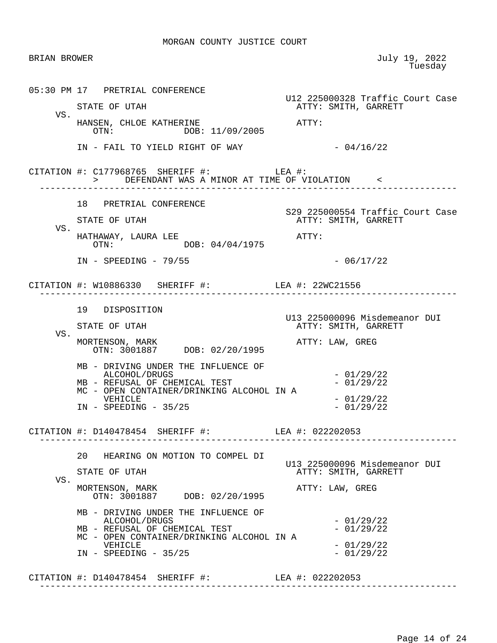| <b>BRIAN BROWER</b> |                                                                                                                                                                          | July 19, 2022<br>Tuesday                                                      |
|---------------------|--------------------------------------------------------------------------------------------------------------------------------------------------------------------------|-------------------------------------------------------------------------------|
| VS.                 | 05:30 PM 17 PRETRIAL CONFERENCE<br>STATE OF UTAH<br>HANSEN, CHLOE KATHERINE                                                                                              | U12 225000328 Traffic Court Case<br>ATTY: SMITH, GARRETT<br>$\mathtt{ATTY}$ : |
|                     | OTN: DOB: 11/09/2005<br>IN - FAIL TO YIELD RIGHT OF WAY                                                                                                                  | $-04/16/22$                                                                   |
|                     | CITATION #: $C177968765$ SHERIFF #: LEA #:<br>> DEFENDANT WAS A MINOR AT TIME OF VIOLATION <                                                                             |                                                                               |
| VS.                 | 18 PRETRIAL CONFERENCE<br>STATE OF UTAH<br>HATHAWAY, LAURA LEE<br>OTN: DOB: 04/04/1975                                                                                   | S29 225000554 Traffic Court Case<br>ATTY: SMITH, GARRETT<br>ATTY:             |
|                     | $IN - SPEEDING - 79/55$                                                                                                                                                  | $-06/17/22$                                                                   |
|                     | CITATION #: W10886330 SHERIFF #: LEA #: 22WC21556                                                                                                                        |                                                                               |
| VS.                 | 19 DISPOSITION<br>STATE OF UTAH<br>MORTENSON, MARK<br>OTN: 3001887 DOB: 02/20/1995                                                                                       | U13 225000096 Misdemeanor DUI<br>ATTY: SMITH, GARRETT<br>ATTY: LAW, GREG      |
|                     | MB - DRIVING UNDER THE INFLUENCE OF<br>ALCOHOL/DRUGS<br>MB - REFUSAL OF CHEMICAL TEST<br>MC - OPEN CONTAINER/DRINKING ALCOHOL IN A<br>VEHICLE<br>$IN - SPEEDING - 35/25$ | $-01/29/22$<br>$-01/29/22$<br>$-01/29/22$<br>$-01/29/22$                      |
|                     | CITATION #: D140478454 SHERIFF #: LEA #: 022202053                                                                                                                       |                                                                               |
| VS.                 | 20 HEARING ON MOTION TO COMPEL DI<br>STATE OF UTAH<br>MORTENSON, MARK<br>OTN: 3001887 DOB: 02/20/1995                                                                    | U13 225000096 Misdemeanor DUI<br>ATTY: SMITH, GARRETT<br>ATTY: LAW, GREG      |
|                     | MB - DRIVING UNDER THE INFLUENCE OF<br>ALCOHOL/DRUGS<br>MB - REFUSAL OF CHEMICAL TEST<br>MC - OPEN CONTAINER/DRINKING ALCOHOL IN A<br>VEHICLE<br>$IN - SPEEDING - 35/25$ | $-01/29/22$<br>$-01/29/22$<br>$-01/29/22$<br>$-01/29/22$                      |
|                     |                                                                                                                                                                          |                                                                               |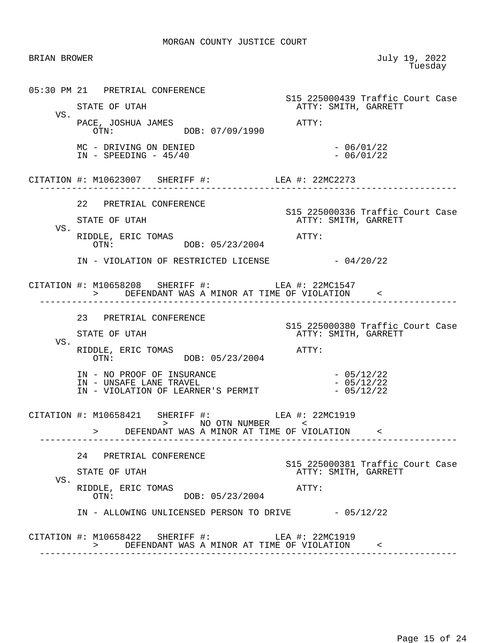| BRIAN BROWER |                                                                                                                                         | July 19, 2022<br>Tuesday                                 |
|--------------|-----------------------------------------------------------------------------------------------------------------------------------------|----------------------------------------------------------|
|              | 05:30 PM 21 PRETRIAL CONFERENCE                                                                                                         | S15 225000439 Traffic Court Case                         |
| VS.          | STATE OF UTAH                                                                                                                           | ATTY: SMITH, GARRETT                                     |
|              | PACE, JOSHUA JAMES<br>OTN: DOB: 07/09/1990                                                                                              | ATTY:                                                    |
|              | MC - DRIVING ON DENIED<br>$IN - SPEEDING - 45/40$                                                                                       | $-06/01/22$<br>$-06/01/22$                               |
|              | CITATION #: M10623007 SHERIFF #: LEA #: 22MC2273                                                                                        |                                                          |
|              | 22 PRETRIAL CONFERENCE                                                                                                                  |                                                          |
| VS.          | STATE OF UTAH                                                                                                                           | S15 225000336 Traffic Court Case<br>ATTY: SMITH, GARRETT |
|              | DDLE, ERIC TOMAS<br>OTN: DOB: 05/23/2004<br>OTN:<br>RIDDLE, ERIC TOMAS                                                                  |                                                          |
|              | IN - VIOLATION OF RESTRICTED LICENSE - 04/20/22                                                                                         |                                                          |
|              | CITATION #: M10658208 SHERIFF #: LEA #: 22MC1547<br>> DEFENDANT WAS A MINOR AT TIME OF VIOLATION <                                      |                                                          |
|              | 23 PRETRIAL CONFERENCE                                                                                                                  | S15 225000380 Traffic Court Case                         |
| VS.          | STATE OF UTAH                                                                                                                           | ATTY: SMITH, GARRETT                                     |
|              | RIDDLE, ERIC TOMAS<br>DOB: 05/23/2004<br>OTN:                                                                                           | ATTY:                                                    |
|              | IN - NO PROOF OF INSURANCE<br>IN - NO PROOF OF INSURANCE<br>IN - UNSAFE LANE TRAVEL<br>$IN - VIOLATION OF LEARNING'S PERMIT - 05/12/22$ | $-05/12/22$<br>$-05/12/22$                               |
|              | CITATION #: M10658421 SHERIFF #: LEA #: 22MC1919<br>> NO OTN NUMBER <<br>> DEFENDANT WAS A MINOR AT TIME OF VIOLATION <                 |                                                          |
|              | 24 PRETRIAL CONFERENCE                                                                                                                  |                                                          |
| VS.          | STATE OF UTAH                                                                                                                           | S15 225000381 Traffic Court Case<br>ATTY: SMITH, GARRETT |
|              | RIDDLE, ERIC TOMAS<br>OTN: DOB: 05/23/2004                                                                                              | ATTY:                                                    |
|              | IN - ALLOWING UNLICENSED PERSON TO DRIVE $-05/12/22$                                                                                    |                                                          |
|              | CITATION #: M10658422 SHERIFF #: LEA #: 22MC1919<br>> DEFENDANT WAS A MINOR AT TIME OF VIOLATION <                                      |                                                          |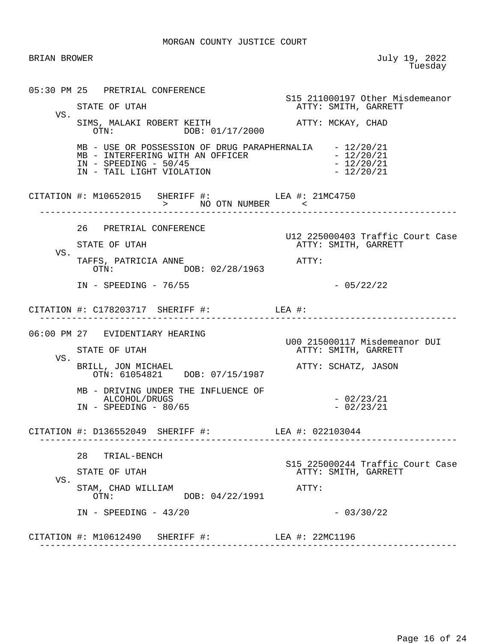| BRIAN BROWER |                                                                                                                                                                                      | July 19, 2022<br>Tuesday                                 |
|--------------|--------------------------------------------------------------------------------------------------------------------------------------------------------------------------------------|----------------------------------------------------------|
|              | 05:30 PM 25 PRETRIAL CONFERENCE                                                                                                                                                      | S15 211000197 Other Misdemeanor                          |
|              | STATE OF UTAH                                                                                                                                                                        | ATTY: SMITH, GARRETT                                     |
| VS.          | SIMS, MALAKI ROBERT KEITH<br>OTN: DOB: 01/17/2000                                                                                                                                    | ATTY: MCKAY, CHAD                                        |
|              | MB - USE OR POSSESSION OF DRUG PARAPHERNALIA - 12/20/21<br>MB - USE OR POSSESSION OF PROGRAMME - INTERFERING WITH AN OFFICER<br>$IN$ - SPEEDING - 50/45<br>IN - TAIL LIGHT VIOLATION | $-12/20/21$<br>$-12/20/21$<br>$-12/20/21$                |
|              | CITATION #: M10652015 SHERIFF #: LEA #: 21MC4750<br>> NO OTN NUMBER <                                                                                                                |                                                          |
|              | 26 PRETRIAL CONFERENCE                                                                                                                                                               |                                                          |
|              | STATE OF UTAH                                                                                                                                                                        | U12 225000403 Traffic Court Case<br>ATTY: SMITH, GARRETT |
| VS.          | TAFFS, PATRICIA ANNE<br>OTN: DOB: 02/28/1963                                                                                                                                         | ATTY:                                                    |
|              | $IN - SPEEDING - 76/55$                                                                                                                                                              | $-05/22/22$                                              |
|              | CITATION #: $C178203717$ SHERIFF #: LEA #:                                                                                                                                           | _____________                                            |
|              | 06:00 PM 27 EVIDENTIARY HEARING                                                                                                                                                      |                                                          |
|              | STATE OF UTAH                                                                                                                                                                        | U00 215000117 Misdemeanor DUI<br>ATTY: SMITH, GARRETT    |
| VS.          | BRILL, JON MICHAEL<br>OTN: 61054821 DOB: 07/15/1987                                                                                                                                  | ATTY: SCHATZ, JASON                                      |
|              | MB - DRIVING UNDER THE INFLUENCE OF<br>ALCOHOL/DRUGS<br>$IN - SPEEDING - 80/65$                                                                                                      | $-02/23/21$<br>$-02/23/21$                               |
|              | CITATION #: D136552049 SHERIFF #: LEA #: 022103044                                                                                                                                   |                                                          |
|              | 28 TRIAL-BENCH                                                                                                                                                                       |                                                          |
|              | STATE OF UTAH                                                                                                                                                                        | S15 225000244 Traffic Court Case<br>ATTY: SMITH, GARRETT |
| VS.          | STAM, CHAD WILLIAM<br>DOB: 04/22/1991<br>OTN:                                                                                                                                        | ATTY:                                                    |
|              | $IN - SPEEDING - 43/20$                                                                                                                                                              | $-03/30/22$                                              |
|              | CITATION #: M10612490 SHERIFF #: LEA #: 22MC1196                                                                                                                                     |                                                          |
|              | ________________________                                                                                                                                                             |                                                          |

Page 16 of 24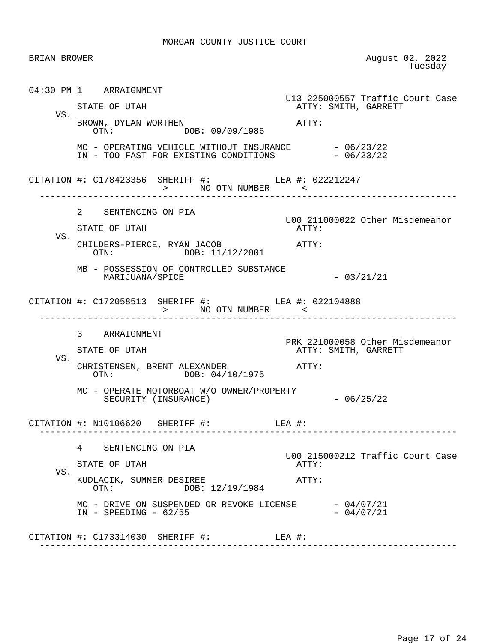| <b>BRIAN BROWER</b> |                                                                                                           | August 02, 2022<br>Tuesday                              |
|---------------------|-----------------------------------------------------------------------------------------------------------|---------------------------------------------------------|
|                     | 04:30 PM 1 ARRAIGNMENT                                                                                    | U13 225000557 Traffic Court Case                        |
| VS.                 | STATE OF UTAH<br>BROWN, DYLAN WORTHEN<br>OTN: DOB: 09/09/1986                                             | ATTY: SMITH, GARRETT<br>ATTY:                           |
|                     | MC - OPERATING VEHICLE WITHOUT INSURANCE $-06/23/22$<br>IN - TOO FAST FOR EXISTING CONDITIONS $-06/23/22$ |                                                         |
|                     | CITATION #: C178423356 SHERIFF #: LEA #: 022212247<br>> NO OTN NUMBER <                                   |                                                         |
|                     | 2 SENTENCING ON PIA<br>STATE OF UTAH                                                                      | U00 211000022 Other Misdemeanor<br>ATTY:                |
| VS.                 | CHILDERS-PIERCE, RYAN JACOB ATTY:<br>OTN: DOB: 11/12/2001                                                 |                                                         |
|                     | MB - POSSESSION OF CONTROLLED SUBSTANCE<br>MARIJUANA/SPICE                                                | $-03/21/21$                                             |
|                     | CITATION #: C172058513 SHERIFF #: LEA #: 022104888<br>> NO OTN NUMBER <                                   |                                                         |
| VS.                 | 3 ARRAIGNMENT<br>STATE OF UTAH                                                                            | PRK 221000058 Other Misdemeanor<br>ATTY: SMITH, GARRETT |
|                     | CHRISTENSEN, BRENT ALEXANDER<br>OTN: DOB: 04/10/1975                                                      | ATTY:                                                   |
|                     | MC - OPERATE MOTORBOAT W/O OWNER/PROPERTY<br>SECURITY (INSURANCE)                                         | $-06/25/22$                                             |
|                     | CITATION #: N10106620 SHERIFF #:                                                                          | $LEA$ #:                                                |
| VS.                 | $4\degree$<br>SENTENCING ON PIA                                                                           | U00 215000212 Traffic Court Case                        |
|                     | STATE OF UTAH<br>KUDLACIK, SUMMER DESIREE<br>DOB: 12/19/1984<br>OTN:                                      | ATTY:<br>ATTY:                                          |
|                     |                                                                                                           |                                                         |
|                     | $MC$ - DRIVE ON SUSPENDED OR REVOKE LICENSE $-04/07/21$<br>$IN - SPEEDING - 62/55$                        | $-04/07/21$                                             |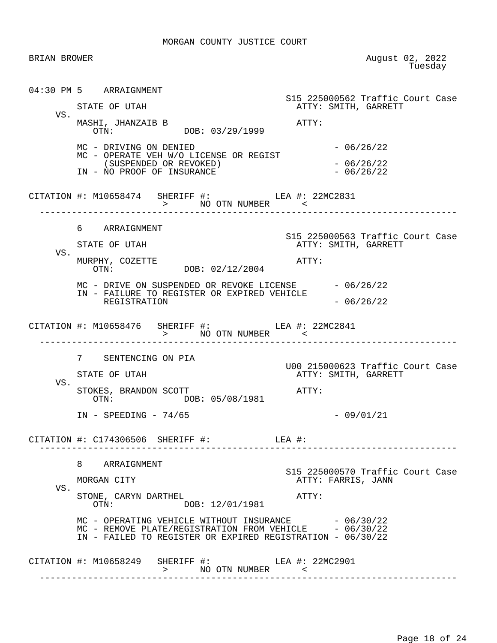| BRIAN BROWER |                                                                                                                                                                  | August 02, 2022<br>Tuesday                               |
|--------------|------------------------------------------------------------------------------------------------------------------------------------------------------------------|----------------------------------------------------------|
|              | 04:30 PM 5 ARRAIGNMENT                                                                                                                                           | S15 225000562 Traffic Court Case                         |
| VS.          | STATE OF UTAH                                                                                                                                                    | ATTY: SMITH, GARRETT                                     |
|              | MASHI, JHANZAIB B<br>OTN: DOB: 03/29/1999                                                                                                                        | ATTY:                                                    |
|              | MC - DRIVING ON DENIED<br>MC - OPERATE VEH W/O LICENSE OR REGIST                                                                                                 | $-06/26/22$                                              |
|              | (SUSPENDED OR REVOKED)<br>IN - NO PROOF OF INSURANCE                                                                                                             | $-06/26/22$<br>$-06/26/22$                               |
|              | CITATION #: M10658474 SHERIFF #: LEA #: 22MC2831<br>> NO OTN NUMBER                                                                                              |                                                          |
|              | 6 ARRAIGNMENT                                                                                                                                                    |                                                          |
|              | STATE OF UTAH                                                                                                                                                    | S15 225000563 Traffic Court Case<br>ATTY: SMITH, GARRETT |
| VS.          | MURPHY, COZETTE<br>OTN: DOB: 02/12/2004                                                                                                                          | ATTY:                                                    |
|              | MC - DRIVE ON SUSPENDED OR REVOKE LICENSE - 06/26/22<br>IN - FAILURE TO REGISTER OR EXPIRED VEHICLE                                                              |                                                          |
|              | REGISTRATION                                                                                                                                                     | $-06/26/22$                                              |
|              | CITATION #: M10658476 SHERIFF #: LEA #: 22MC2841                                                                                                                 |                                                          |
|              | 7 SENTENCING ON PIA                                                                                                                                              |                                                          |
|              | STATE OF UTAH                                                                                                                                                    | U00 215000623 Traffic Court Case<br>ATTY: SMITH, GARRETT |
| VS.          | STOKES, BRANDON SCOTT<br>DOB: 05/08/1981<br>OTN:                                                                                                                 | ATTY:                                                    |
|              | $IN$ - SPEEDING - 74/65                                                                                                                                          | $-09/01/21$                                              |
|              | CITATION #: C174306506 SHERIFF #:                                                                                                                                | LEA #:                                                   |
|              | 8 ARRAIGNMENT                                                                                                                                                    |                                                          |
| VS.          | MORGAN CITY                                                                                                                                                      | S15 225000570 Traffic Court Case<br>ATTY: FARRIS, JANN   |
|              | STONE, CARYN DARTHEL<br>DOB: 12/01/1981<br>OTN:                                                                                                                  | ATTY:                                                    |
|              | MC - OPERATING VEHICLE WITHOUT INSURANCE<br>MC - REMOVE PLATE/REGISTRATION FROM VEHICLE - 06/30/22<br>IN - FAILED TO REGISTER OR EXPIRED REGISTRATION - 06/30/22 | $-06/30/22$                                              |
|              |                                                                                                                                                                  |                                                          |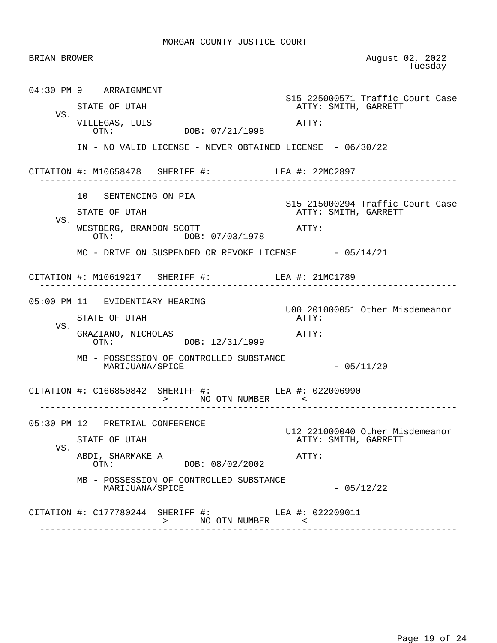| BRIAN BROWER |                                                                                  | August 02, 2022<br>Tuesday                               |
|--------------|----------------------------------------------------------------------------------|----------------------------------------------------------|
|              | 04:30 PM 9 ARRAIGNMENT                                                           | S15 225000571 Traffic Court Case                         |
|              | STATE OF UTAH                                                                    | ATTY: SMITH, GARRETT                                     |
| VS.          | VILLEGAS, LUIS<br>OTN: DOB: 07/21/1998                                           | ATTY:                                                    |
|              | IN - NO VALID LICENSE - NEVER OBTAINED LICENSE - 06/30/22                        |                                                          |
|              | CITATION #: M10658478 SHERIFF #: LEA #: 22MC2897                                 |                                                          |
|              | 10 SENTENCING ON PIA                                                             |                                                          |
| VS.          | STATE OF UTAH                                                                    | S15 215000294 Traffic Court Case<br>ATTY: SMITH, GARRETT |
|              | WESTBERG, BRANDON SCOTT<br>OTN: DOB: 07/03/1978                                  | ATTY:                                                    |
|              | MC - DRIVE ON SUSPENDED OR REVOKE LICENSE - 05/14/21                             |                                                          |
|              | CITATION #: M10619217 SHERIFF #: LEA #: 21MC1789<br>______________________       |                                                          |
|              | 05:00 PM 11 EVIDENTIARY HEARING                                                  |                                                          |
|              | STATE OF UTAH                                                                    | U00 201000051 Other Misdemeanor<br>ATTY:                 |
| VS.          | GRAZIANO, NICHOLAS<br>OTN: DOB: 12/31/1999                                       | ATTY:                                                    |
|              | MB - POSSESSION OF CONTROLLED SUBSTANCE<br>MARIJUANA/SPICE                       | $-05/11/20$                                              |
|              | CITATION #: C166850842 SHERIFF #: LEA #: 022006990<br>$>$ NO OTN NUMBER $  \sim$ |                                                          |
|              | 05:30 PM 12 PRETRIAL CONFERENCE                                                  |                                                          |
| VS.          | STATE OF UTAH                                                                    | U12 221000040 Other Misdemeanor<br>ATTY: SMITH, GARRETT  |
|              | ABDI, SHARMAKE A<br>DOB: 08/02/2002<br>OTN:                                      | ATTY:                                                    |
|              | MB - POSSESSION OF CONTROLLED SUBSTANCE<br>MARIJUANA/SPICE                       | $-05/12/22$                                              |
|              | CITATION #: C177780244 SHERIFF #: LEA #: 022209011<br>> NO OTN NUMBER            |                                                          |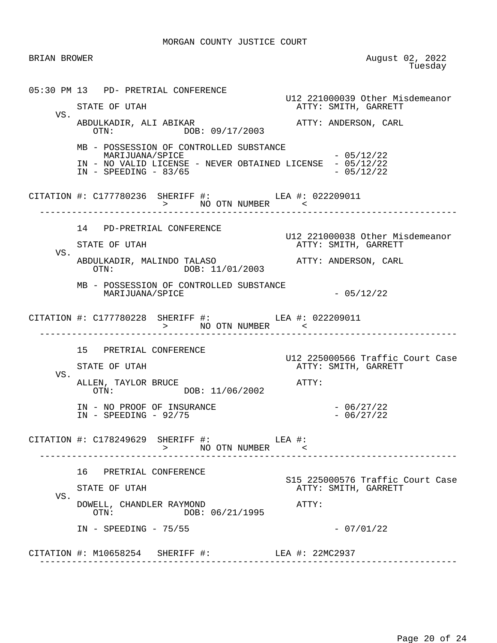BRIAN BROWER August 02, 2022 **The State of the Contract of the State of Tuesday**  05:30 PM 13 PD- PRETRIAL CONFERENCE U12 221000039 Other Misdemeanor ATTY: SMITH, GARRETT VS. ABDULKADIR, ALI ABIKAR ATTY: ANDERSON, CARL OTN: DOB: 09/17/2003 MB - POSSESSION OF CONTROLLED SUBSTANCE  $\text{MARIJUANA}/\text{SPICE}$  - 05/12/22 IN - NO VALID LICENSE - NEVER OBTAINED LICENSE - 05/12/22<br>IN - SPEEDING - 83/65  $IN - SPEEDING - 83/65$ CITATION #: C177780236 SHERIFF #: LEA #: 022209011 > NO OTN NUMBER ------------------------------------------------------------------------------ 14 PD-PRETRIAL CONFERENCE U12 221000038 Other Misdemeanor ATTY: SMITH, GARRETT VS. ABDULKADIR, MALINDO TALASO ATTY: ANDERSON, CARL OTN: DOB: 11/01/2003 MB - POSSESSION OF CONTROLLED SUBSTANCE  $\text{MARIJUANA}/\text{SPICE}$   $-05/12/22$ CITATION #: C177780228 SHERIFF #: LEA #: 022209011 > NO OTN NUMBER ------------------------------------------------------------------------------ 15 PRETRIAL CONFERENCE U12 225000566 Traffic Court Case ATTY: SMITH, GARRETT VS. ALLEN, TAYLOR BRUCE<br>
OTN: DOB: 11/06/2002<br>
ATTY: DOB: 11/06/2002 IN - NO PROOF OF INSURANCE  $-06/27/22$ <br>IN - SPEEDING - 92/75 - 06/27/22  $IN - SPEEDING - 92/75$ CITATION #: C178249629 SHERIFF #: LEA #: > NO OTN NUMBER < ------------------------------------------------------------------------------ 16 PRETRIAL CONFERENCE S15 225000576 Traffic Court Case ATTY: SMITH, GARRETT VS. DOWELL, CHANDLER RAYMOND **ATTY:**  OTN: DOB: 06/21/1995 IN - SPEEDING - 75/55 - 07/01/22 CITATION #: M10658254 SHERIFF #: LEA #: 22MC2937 ------------------------------------------------------------------------------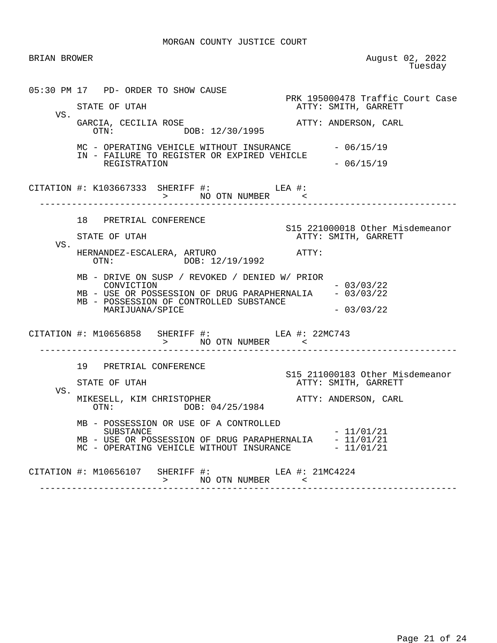| BRIAN BROWER |                                                                                                                                                                                                                                                                                                                     | August 02, 2022<br>Tuesday                                                            |
|--------------|---------------------------------------------------------------------------------------------------------------------------------------------------------------------------------------------------------------------------------------------------------------------------------------------------------------------|---------------------------------------------------------------------------------------|
| VS.          | 05:30 PM 17 PD- ORDER TO SHOW CAUSE<br>STATE OF UTAH<br>GARCIA, CECILIA ROSE<br>OTN: DOB: 12/30/1995                                                                                                                                                                                                                | PRK 195000478 Traffic Court Case<br>ATTY: SMITH, GARRETT<br>ATTY: ANDERSON, CARL      |
|              | MC - OPERATING VEHICLE WITHOUT INSURANCE - 06/15/19<br>IN - FAILURE TO REGISTER OR EXPIRED VEHICLE<br>REGISTRATION                                                                                                                                                                                                  | $-06/15/19$                                                                           |
|              | CITATION #: K103667333 SHERIFF #: LEA #:<br>> NO OTN NUMBER <                                                                                                                                                                                                                                                       |                                                                                       |
| VS.          | 18 PRETRIAL CONFERENCE<br>STATE OF UTAH                                                                                                                                                                                                                                                                             | S15 221000018 Other Misdemeanor<br>ATTY: SMITH, GARRETT                               |
|              | HERNANDEZ-ESCALERA, ARTURO<br>OTN: DOB: 12/19/1992<br>MB - DRIVE ON SUSP / REVOKED / DENIED W/ PRIOR<br>CONVICTION<br>MB - USE OR POSSESSION OF DRUG PARAPHERNALIA - 03/03/22<br>MB - POSSESSION OF CONTROLLED SUBSTANCE<br>MARIJUANA/SPICE                                                                         | ATTY:<br>$-03/03/22$<br>$-03/03/22$                                                   |
|              | CITATION #: M10656858 SHERIFF #: LEA #: 22MC743                                                                                                                                                                                                                                                                     |                                                                                       |
| VS.          | 19 PRETRIAL CONFERENCE<br>STATE OF UTAH<br>ESELL, KIM CHRISTOPHER<br>OTN: DOB: 04/25/1984<br>OTN: DOB: 04/25/1984<br>MIKESELL, KIM CHRISTOPHER<br>MB - POSSESSION OR USE OF A CONTROLLED<br><b>SUBSTANCE</b><br>MB - USE OR POSSESSION OF DRUG PARAPHERNALIA - 11/01/21<br>MC - OPERATING VEHICLE WITHOUT INSURANCE | S15 211000183 Other Misdemeanor<br>ATTY: SMITH, GARRETT<br>$-11/01/21$<br>$-11/01/21$ |
|              | CITATION #: M10656107 SHERIFF #: LEA #: 21MC4224<br>>          NO    OTN    NUMBER               <                                                                                                                                                                                                                  |                                                                                       |

Page 21 of 24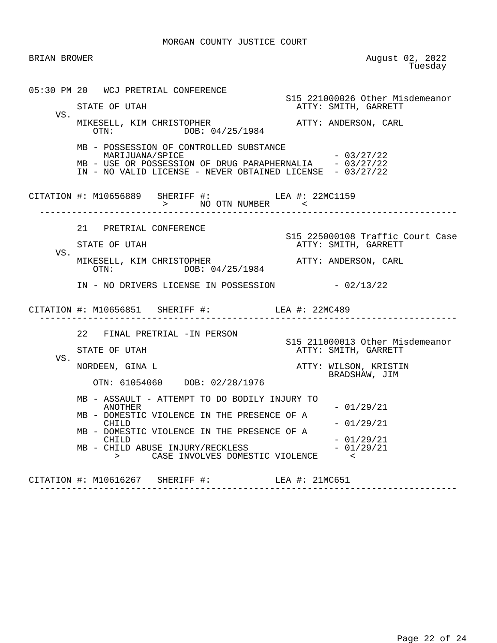| BRIAN BROWER |                                                                                                                                                                                                                                                                                                     |                | August 02, 2022<br>Tuesday                                                                        |
|--------------|-----------------------------------------------------------------------------------------------------------------------------------------------------------------------------------------------------------------------------------------------------------------------------------------------------|----------------|---------------------------------------------------------------------------------------------------|
| VS.          | 05:30 PM 20 WCJ PRETRIAL CONFERENCE<br>STATE OF UTAH<br>MIKESELL, KIM CHRISTOPHER<br>OTN: DOB: 04/25/1984<br>MB - POSSESSION OF CONTROLLED SUBSTANCE<br>MARIJUANA/SPICE<br>MB - USE OR POSSESSION OF DRUG PARAPHERNALIA - $03/27/22$<br>IN - NO VALID LICENSE - NEVER OBTAINED LICENSE - $03/27/22$ |                | S15 221000026 Other Misdemeanor<br>ATTY: SMITH, GARRETT<br>ATTY: ANDERSON, CARL<br>$-03/27/22$    |
|              | CITATION #: M10656889 SHERIFF #: LEA #: 22MC1159<br>> NO OTN NUMBER <<br>-----------------------------                                                                                                                                                                                              |                | <u> Liste de l'estació de l</u>                                                                   |
| VS.          | 21 PRETRIAL CONFERENCE<br>STATE OF UTAH<br>MIKESELL, KIM CHRISTOPHER<br>OTN: DOB: 04/25/1984<br>IN - NO DRIVERS LICENSE IN POSSESSION - 02/13/22                                                                                                                                                    |                | S15 225000108 Traffic Court Case<br>ATTY: SMITH, GARRETT<br>ATTY: ANDERSON, CARL                  |
|              | CITATION #: M10656851 SHERIFF #: LEA #: 22MC489                                                                                                                                                                                                                                                     |                |                                                                                                   |
| VS.          | 22 FINAL PRETRIAL -IN PERSON<br>STATE OF UTAH<br>NORDEEN, GINA L<br>OTN: 61054060 DOB: 02/28/1976                                                                                                                                                                                                   |                | S15 211000013 Other Misdemeanor<br>ATTY: SMITH, GARRETT<br>ATTY: WILSON, KRISTIN<br>BRADSHAW, JIM |
|              | MB - ASSAULT - ATTEMPT TO DO BODILY INJURY TO<br>ANOTHER<br>MB - DOMESTIC VIOLENCE IN THE PRESENCE OF A<br>CHILD<br>MB - DOMESTIC VIOLENCE IN THE PRESENCE OF A<br>CHILD<br>MB - CHILD ABUSE INJURY/RECKLESS<br>CASE INVOLVES DOMESTIC VIOLENCE<br>$\geq$                                           |                | $-01/29/21$<br>$-01/29/21$<br>$-01/29/21$<br>$-01/29/21$<br>$\lt$                                 |
|              | CITATION #: M10616267 SHERIFF #:                                                                                                                                                                                                                                                                    | LEA #: 21MC651 |                                                                                                   |

------------------------------------------------------------------------------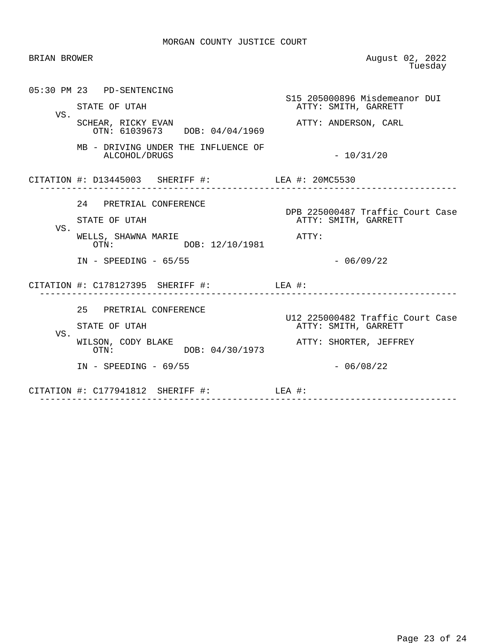| <b>BRIAN BROWER</b> |                                                                                        | August 02, 2022<br>Tuesday                                        |
|---------------------|----------------------------------------------------------------------------------------|-------------------------------------------------------------------|
|                     | 05:30 PM 23 PD-SENTENCING<br>STATE OF UTAH                                             | S15 205000896 Misdemeanor DUI<br>ATTY: SMITH, GARRETT             |
| VS.                 | SCHEAR, RICKY EVAN<br>OTN: 61039673 DOB: 04/04/1969                                    | ATTY: ANDERSON, CARL                                              |
|                     | MB - DRIVING UNDER THE INFLUENCE OF<br>ALCOHOL/DRUGS                                   | $-10/31/20$                                                       |
|                     | CITATION #: D13445003 SHERIFF #: LEA #: 20MC5530                                       |                                                                   |
| VS.                 | 24 PRETRIAL CONFERENCE<br>STATE OF UTAH<br>WELLS, SHAWNA MARIE<br>OTN: DOB: 12/10/1981 | DPB 225000487 Traffic Court Case<br>ATTY: SMITH, GARRETT<br>ATTY: |
|                     | $IN - SPEEDING - 65/55$                                                                | $-06/09/22$                                                       |
|                     | CITATION #: C178127395 SHERIFF #: LEA #:                                               |                                                                   |
| VS.                 | 25 PRETRIAL CONFERENCE<br>STATE OF UTAH                                                | U12 225000482 Traffic Court Case<br>ATTY: SMITH, GARRETT          |
|                     | WILSON, CODY BLAKE<br>DOB: 04/30/1973<br>OTN:<br>$IN - SPEEDING - 69/55$               | ATTY: SHORTER, JEFFREY<br>$-06/08/22$                             |
|                     | CITATION #: $C177941812$ SHERIFF #: LEA #:                                             |                                                                   |